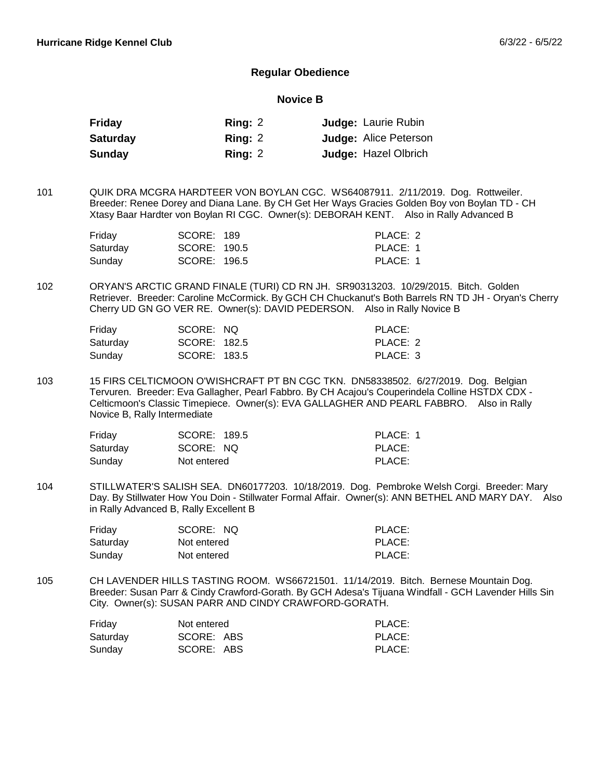## **Regular Obedience**

#### **Novice B**

| Friday          | Ring: $2$ | <b>Judge: Laurie Rubin</b>   |
|-----------------|-----------|------------------------------|
| <b>Saturday</b> | Ring: 2   | <b>Judge: Alice Peterson</b> |
| Sunday          | Ring: $2$ | <b>Judge: Hazel Olbrich</b>  |

QUIK DRA MCGRA HARDTEER VON BOYLAN CGC. WS64087911. 2/11/2019. Dog. Rottweiler. Breeder: Renee Dorey and Diana Lane. By CH Get Her Ways Gracies Golden Boy von Boylan TD - CH Xtasy Baar Hardter von Boylan RI CGC. Owner(s): DEBORAH KENT. Also in Rally Advanced B 101

| Friday   | SCORE: 189   | PLACE: 2 |
|----------|--------------|----------|
| Saturday | SCORE: 190.5 | PLACE: 1 |
| Sunday   | SCORE: 196.5 | PLACE: 1 |

ORYAN'S ARCTIC GRAND FINALE (TURI) CD RN JH. SR90313203. 10/29/2015. Bitch. Golden Retriever. Breeder: Caroline McCormick. By GCH CH Chuckanut's Both Barrels RN TD JH - Oryan's Cherry Cherry UD GN GO VER RE. Owner(s): DAVID PEDERSON. Also in Rally Novice B 102

| Friday   | SCORE: NQ    | PLACE:   |
|----------|--------------|----------|
| Saturday | SCORE: 182.5 | PLACE: 2 |
| Sunday   | SCORE: 183.5 | PLACE: 3 |

15 FIRS CELTICMOON O'WISHCRAFT PT BN CGC TKN. DN58338502. 6/27/2019. Dog. Belgian Tervuren. Breeder: Eva Gallagher, Pearl Fabbro. By CH Acajou's Couperindela Colline HSTDX CDX - Celticmoon's Classic Timepiece. Owner(s): EVA GALLAGHER AND PEARL FABBRO. Also in Rally Novice B, Rally Intermediate 103

| Friday   | SCORE: 189.5 | PLACE: 1 |
|----------|--------------|----------|
| Saturday | SCORE: NQ    | PLACE:   |
| Sunday   | Not entered  | PLACE:   |

STILLWATER'S SALISH SEA. DN60177203. 10/18/2019. Dog. Pembroke Welsh Corgi. Breeder: Mary Day. By Stillwater How You Doin - Stillwater Formal Affair. Owner(s): ANN BETHEL AND MARY DAY. Also in Rally Advanced B, Rally Excellent B 104

| Friday   | SCORE: NQ   | PLACE: |
|----------|-------------|--------|
| Saturday | Not entered | PLACE: |
| Sundav   | Not entered | PLACE: |

CH LAVENDER HILLS TASTING ROOM. WS66721501. 11/14/2019. Bitch. Bernese Mountain Dog. Breeder: Susan Parr & Cindy Crawford-Gorath. By GCH Adesa's Tijuana Windfall - GCH Lavender Hills Sin City. Owner(s): SUSAN PARR AND CINDY CRAWFORD-GORATH. 105

| Friday   | Not entered | PLACE: |
|----------|-------------|--------|
| Saturday | SCORE: ABS  | PLACE: |
| Sunday   | SCORE: ABS  | PLACE: |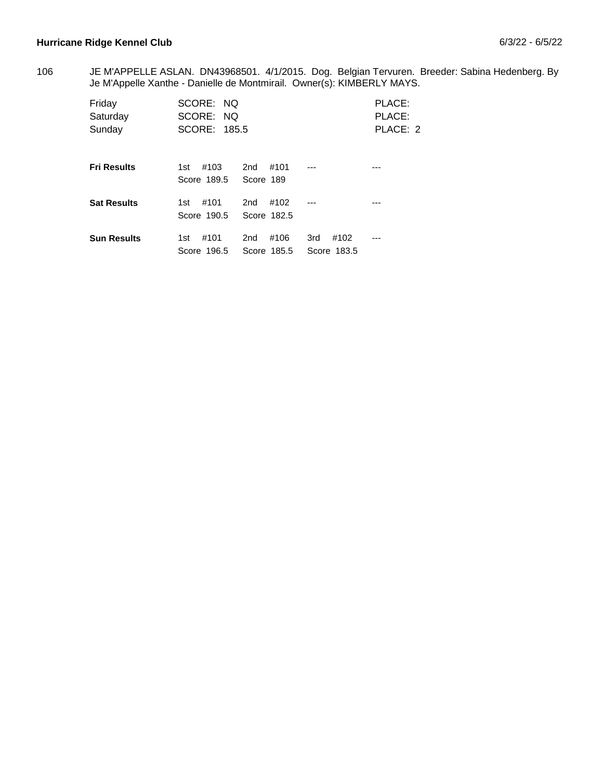## Hurricane Ridge Kennel Club **6/3/22 - 6/5/22**

JE M'APPELLE ASLAN. DN43968501. 4/1/2015. Dog. Belgian Tervuren. Breeder: Sabina Hedenberg. By Je M'Appelle Xanthe - Danielle de Montmirail. Owner(s): KIMBERLY MAYS. 106

| Friday<br>Saturday<br>Sunday | SCORE: NQ<br>SCORE: NO<br>SCORE: 185.5 |                                        |                            | PLACE:<br>PLACE:<br>PLACE: 2 |
|------------------------------|----------------------------------------|----------------------------------------|----------------------------|------------------------------|
| <b>Fri Results</b>           | #103<br>1st<br>Score 189.5             | #101<br>2nd<br>Score 189               | ---                        |                              |
| <b>Sat Results</b>           | #101<br>1st<br>Score 190.5             | #102<br>2 <sub>nd</sub><br>Score 182.5 | ---                        | ---                          |
| <b>Sun Results</b>           | #101<br>1st<br>Score 196.5             | #106<br>2 <sub>nd</sub><br>Score 185.5 | 3rd<br>#102<br>Score 183.5 | ---                          |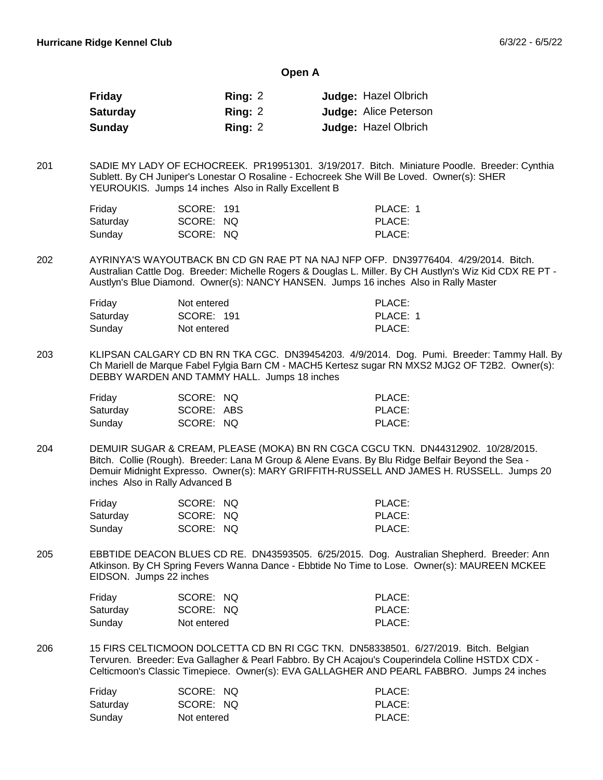#### **Open A**

| Friday          | Ring: 2 | <b>Judge: Hazel Olbrich</b>  |
|-----------------|---------|------------------------------|
| <b>Saturday</b> | Ring: 2 | <b>Judge: Alice Peterson</b> |
| <b>Sunday</b>   | Ring: 2 | <b>Judge: Hazel Olbrich</b>  |

SADIE MY LADY OF ECHOCREEK. PR19951301. 3/19/2017. Bitch. Miniature Poodle. Breeder: Cynthia Sublett. By CH Juniper's Lonestar O Rosaline - Echocreek She Will Be Loved. Owner(s): SHER YEUROUKIS. Jumps 14 inches Also in Rally Excellent B 201

| Friday   | SCORE: 191 | PLACE: 1 |
|----------|------------|----------|
| Saturday | SCORE: NQ  | PLACE:   |
| Sundav   | SCORE: NQ  | PLACE:   |

AYRINYA'S WAYOUTBACK BN CD GN RAE PT NA NAJ NFP OFP. DN39776404. 4/29/2014. Bitch. Australian Cattle Dog. Breeder: Michelle Rogers & Douglas L. Miller. By CH Austlyn's Wiz Kid CDX RE PT - Austlyn's Blue Diamond. Owner(s): NANCY HANSEN. Jumps 16 inches Also in Rally Master 202

| Friday   | Not entered | PLACE:   |
|----------|-------------|----------|
| Saturday | SCORE: 191  | PLACE: 1 |
| Sunday   | Not entered | PLACE:   |

KLIPSAN CALGARY CD BN RN TKA CGC. DN39454203. 4/9/2014. Dog. Pumi. Breeder: Tammy Hall. By Ch Mariell de Marque Fabel Fylgia Barn CM - MACH5 Kertesz sugar RN MXS2 MJG2 OF T2B2. Owner(s): DEBBY WARDEN AND TAMMY HALL. Jumps 18 inches 203

| Friday   | SCORE: NQ  | PLACE: |
|----------|------------|--------|
| Saturday | SCORE: ABS | PLACE: |
| Sunday   | SCORE: NQ  | PLACE: |

DEMUIR SUGAR & CREAM, PLEASE (MOKA) BN RN CGCA CGCU TKN. DN44312902. 10/28/2015. Bitch. Collie (Rough). Breeder: Lana M Group & Alene Evans. By Blu Ridge Belfair Beyond the Sea - Demuir Midnight Expresso. Owner(s): MARY GRIFFITH-RUSSELL AND JAMES H. RUSSELL. Jumps 20 inches Also in Rally Advanced B 204

| Friday   | SCORE: NQ | PLACE: |
|----------|-----------|--------|
| Saturday | SCORE: NQ | PLACE: |
| Sunday   | SCORE: NQ | PLACE: |

EBBTIDE DEACON BLUES CD RE. DN43593505. 6/25/2015. Dog. Australian Shepherd. Breeder: Ann Atkinson. By CH Spring Fevers Wanna Dance - Ebbtide No Time to Lose. Owner(s): MAUREEN MCKEE EIDSON. Jumps 22 inches 205

| Friday   | SCORE: NQ   | PLACE: |
|----------|-------------|--------|
| Saturday | SCORE: NQ   | PLACE: |
| Sunday   | Not entered | PLACE: |

15 FIRS CELTICMOON DOLCETTA CD BN RI CGC TKN. DN58338501. 6/27/2019. Bitch. Belgian Tervuren. Breeder: Eva Gallagher & Pearl Fabbro. By CH Acajou's Couperindela Colline HSTDX CDX - Celticmoon's Classic Timepiece. Owner(s): EVA GALLAGHER AND PEARL FABBRO. Jumps 24 inches 206

| Friday   | SCORE: NQ   | PLACE: |
|----------|-------------|--------|
| Saturday | SCORE: NQ   | PLACE: |
| Sunday   | Not entered | PLACE: |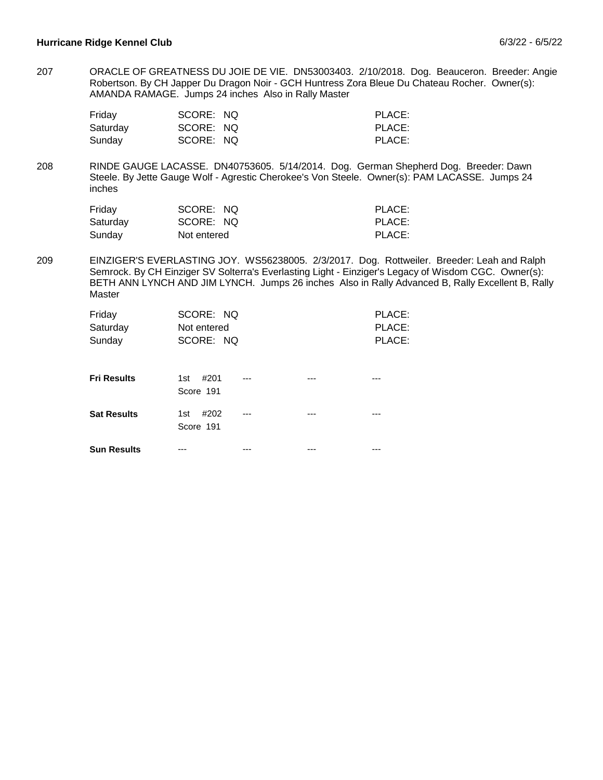ORACLE OF GREATNESS DU JOIE DE VIE. DN53003403. 2/10/2018. Dog. Beauceron. Breeder: Angie Robertson. By CH Japper Du Dragon Noir - GCH Huntress Zora Bleue Du Chateau Rocher. Owner(s): AMANDA RAMAGE. Jumps 24 inches Also in Rally Master 207

| Friday   | SCORE: NQ | PLACE: |
|----------|-----------|--------|
| Saturday | SCORE: NQ | PLACE: |
| Sunday   | SCORE: NQ | PLACE: |

RINDE GAUGE LACASSE. DN40753605. 5/14/2014. Dog. German Shepherd Dog. Breeder: Dawn Steele. By Jette Gauge Wolf - Agrestic Cherokee's Von Steele. Owner(s): PAM LACASSE. Jumps 24 inches 208

| Friday   | SCORE: NQ   | PLACE: |
|----------|-------------|--------|
| Saturday | SCORE: NQ   | PLACE: |
| Sunday   | Not entered | PLACE: |

EINZIGER'S EVERLASTING JOY. WS56238005. 2/3/2017. Dog. Rottweiler. Breeder: Leah and Ralph Semrock. By CH Einziger SV Solterra's Everlasting Light - Einziger's Legacy of Wisdom CGC. Owner(s): BETH ANN LYNCH AND JIM LYNCH. Jumps 26 inches Also in Rally Advanced B, Rally Excellent B, Rally Master 209

| Friday<br>Saturday<br>Sunday | SCORE: NQ<br>Not entered<br>SCORE: NQ |  | PLACE:<br>PLACE:<br>PLACE: |
|------------------------------|---------------------------------------|--|----------------------------|
| <b>Fri Results</b>           | #201<br>1st<br>Score 191              |  |                            |
| <b>Sat Results</b>           | #202<br>1st<br>Score 191              |  |                            |
| <b>Sun Results</b>           |                                       |  |                            |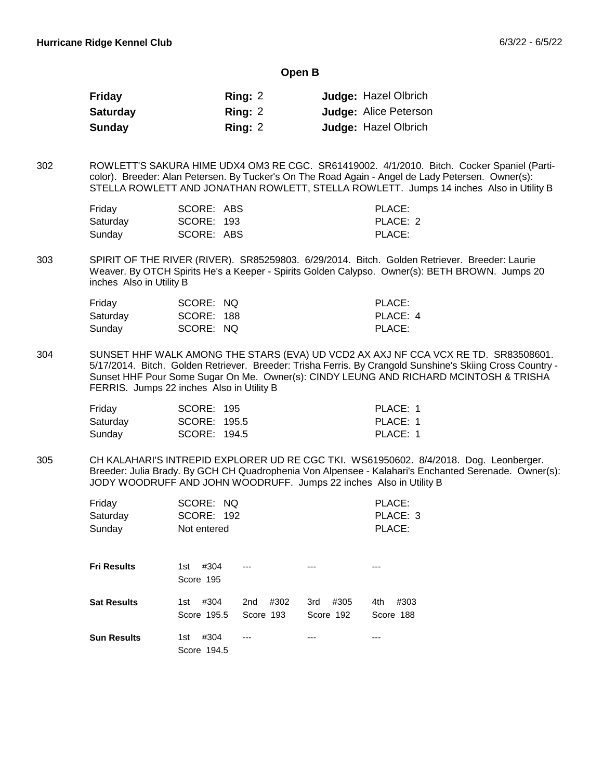#### **Open B**

| Friday          | Ring: 2   | <b>Judge: Hazel Olbrich</b>  |
|-----------------|-----------|------------------------------|
| <b>Saturday</b> | Ring: 2   | <b>Judge: Alice Peterson</b> |
| <b>Sunday</b>   | Ring: $2$ | <b>Judge: Hazel Olbrich</b>  |

ROWLETT'S SAKURA HIME UDX4 OM3 RE CGC. SR61419002. 4/1/2010. Bitch. Cocker Spaniel (Particolor). Breeder: Alan Petersen. By Tucker's On The Road Again - Angel de Lady Petersen. Owner(s): STELLA ROWLETT AND JONATHAN ROWLETT, STELLA ROWLETT. Jumps 14 inches Also in Utility B 302

| Friday   | SCORE: ABS | PLACE:   |
|----------|------------|----------|
| Saturdav | SCORE: 193 | PLACE: 2 |
| Sundav   | SCORE: ABS | PLACE:   |

SPIRIT OF THE RIVER (RIVER). SR85259803. 6/29/2014. Bitch. Golden Retriever. Breeder: Laurie Weaver. By OTCH Spirits He's a Keeper - Spirits Golden Calypso. Owner(s): BETH BROWN. Jumps 20 inches Also in Utility B 303

| Friday   | SCORE: NQ  | PLACE:   |
|----------|------------|----------|
| Saturday | SCORE: 188 | PLACE: 4 |
| Sunday   | SCORE: NQ  | PLACE:   |

SUNSET HHF WALK AMONG THE STARS (EVA) UD VCD2 AX AXJ NF CCA VCX RE TD. SR83508601. 5/17/2014. Bitch. Golden Retriever. Breeder: Trisha Ferris. By Crangold Sunshine's Skiing Cross Country - Sunset HHF Pour Some Sugar On Me. Owner(s): CINDY LEUNG AND RICHARD MCINTOSH & TRISHA FERRIS. Jumps 22 inches Also in Utility B 304

| Friday   | SCORE: 195   | PLACE: 1 |
|----------|--------------|----------|
| Saturday | SCORE: 195.5 | PLACE: 1 |
| Sunday   | SCORE: 194.5 | PLACE: 1 |

CH KALAHARI'S INTREPID EXPLORER UD RE CGC TKI. WS61950602. 8/4/2018. Dog. Leonberger. Breeder: Julia Brady. By GCH CH Quadrophenia Von Alpensee - Kalahari's Enchanted Serenade. Owner(s): JODY WOODRUFF AND JOHN WOODRUFF. Jumps 22 inches Also in Utility B 305

| Friday<br>Saturday<br>Sunday | SCORE: NQ<br><b>SCORE: 192</b><br>Not entered |                          |                          | PLACE:<br>PLACE: 3<br>PLACE: |
|------------------------------|-----------------------------------------------|--------------------------|--------------------------|------------------------------|
| <b>Fri Results</b>           | #304<br>1st<br>Score 195                      |                          |                          |                              |
| <b>Sat Results</b>           | #304<br>1st<br>Score 195.5                    | #302<br>2nd<br>Score 193 | #305<br>3rd<br>Score 192 | 4th<br>#303<br>Score 188     |
| <b>Sun Results</b>           | #304<br>1st<br>Score 194.5                    |                          |                          |                              |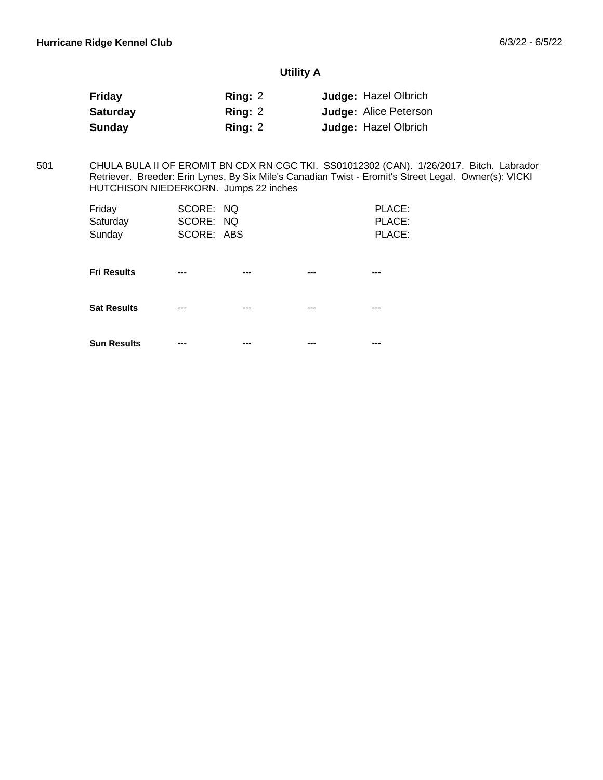# **Utility A**

| <b>Friday</b>   | Ring: $2$ | <b>Judge: Hazel Olbrich</b>  |
|-----------------|-----------|------------------------------|
| <b>Saturday</b> | Ring: 2   | <b>Judge: Alice Peterson</b> |
| Sunday          | Ring: $2$ | <b>Judge: Hazel Olbrich</b>  |

CHULA BULA II OF EROMIT BN CDX RN CGC TKI. SS01012302 (CAN). 1/26/2017. Bitch. Labrador Retriever. Breeder: Erin Lynes. By Six Mile's Canadian Twist - Eromit's Street Legal. Owner(s): VICKI HUTCHISON NIEDERKORN. Jumps 22 inches 501

| Friday             | SCORE: NQ  |     |     | PLACE: |
|--------------------|------------|-----|-----|--------|
| Saturday           | SCORE: NQ  |     |     | PLACE: |
| Sunday             | SCORE: ABS |     |     | PLACE: |
|                    |            |     |     |        |
|                    |            |     |     |        |
| <b>Fri Results</b> | ---        | --- | --- | ---    |
|                    |            |     |     |        |
|                    |            |     |     |        |
| <b>Sat Results</b> | ---        | --- |     | ---    |
|                    |            |     |     |        |
|                    |            |     |     |        |
| <b>Sun Results</b> | ---        |     |     |        |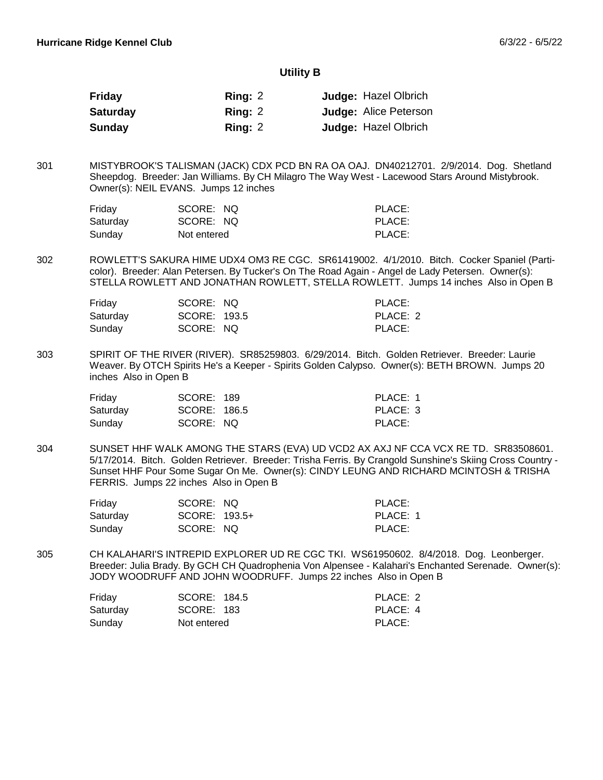#### **Utility B**

| Friday          | Ring: 2   | <b>Judge: Hazel Olbrich</b>  |
|-----------------|-----------|------------------------------|
| <b>Saturday</b> | Ring: 2   | <b>Judge: Alice Peterson</b> |
| <b>Sunday</b>   | Ring: $2$ | <b>Judge: Hazel Olbrich</b>  |

MISTYBROOK'S TALISMAN (JACK) CDX PCD BN RA OA OAJ. DN40212701. 2/9/2014. Dog. Shetland Sheepdog. Breeder: Jan Williams. By CH Milagro The Way West - Lacewood Stars Around Mistybrook. Owner(s): NEIL EVANS. Jumps 12 inches 301

| Friday   | SCORE: NQ   | PLACE: |
|----------|-------------|--------|
| Saturday | SCORE: NQ   | PLACE: |
| Sunday   | Not entered | PLACE: |

ROWLETT'S SAKURA HIME UDX4 OM3 RE CGC. SR61419002. 4/1/2010. Bitch. Cocker Spaniel (Particolor). Breeder: Alan Petersen. By Tucker's On The Road Again - Angel de Lady Petersen. Owner(s): STELLA ROWLETT AND JONATHAN ROWLETT, STELLA ROWLETT. Jumps 14 inches Also in Open B 302

| Friday   | SCORE: NQ    | PLACE:   |
|----------|--------------|----------|
| Saturday | SCORE: 193.5 | PLACE: 2 |
| Sunday   | SCORE: NQ    | PLACE:   |

SPIRIT OF THE RIVER (RIVER). SR85259803. 6/29/2014. Bitch. Golden Retriever. Breeder: Laurie Weaver. By OTCH Spirits He's a Keeper - Spirits Golden Calypso. Owner(s): BETH BROWN. Jumps 20 inches Also in Open B 303

| Friday   | SCORE: 189   | PLACE: 1 |
|----------|--------------|----------|
| Saturday | SCORE: 186.5 | PLACE: 3 |
| Sunday   | SCORE: NQ    | PLACE:   |

SUNSET HHF WALK AMONG THE STARS (EVA) UD VCD2 AX AXJ NF CCA VCX RE TD. SR83508601. 5/17/2014. Bitch. Golden Retriever. Breeder: Trisha Ferris. By Crangold Sunshine's Skiing Cross Country - Sunset HHF Pour Some Sugar On Me. Owner(s): CINDY LEUNG AND RICHARD MCINTOSH & TRISHA FERRIS. Jumps 22 inches Also in Open B 304

| Friday   | SCORE: NQ     | PLACE:   |
|----------|---------------|----------|
| Saturday | SCORE: 193.5+ | PLACE: 1 |
| Sunday   | SCORE: NQ     | PLACE:   |

CH KALAHARI'S INTREPID EXPLORER UD RE CGC TKI. WS61950602. 8/4/2018. Dog. Leonberger. Breeder: Julia Brady. By GCH CH Quadrophenia Von Alpensee - Kalahari's Enchanted Serenade. Owner(s): JODY WOODRUFF AND JOHN WOODRUFF. Jumps 22 inches Also in Open B 305

| Friday   | SCORE: 184.5 | PLACE: 2 |
|----------|--------------|----------|
| Saturdav | SCORE: 183   | PLACE: 4 |
| Sundav   | Not entered  | PLACE:   |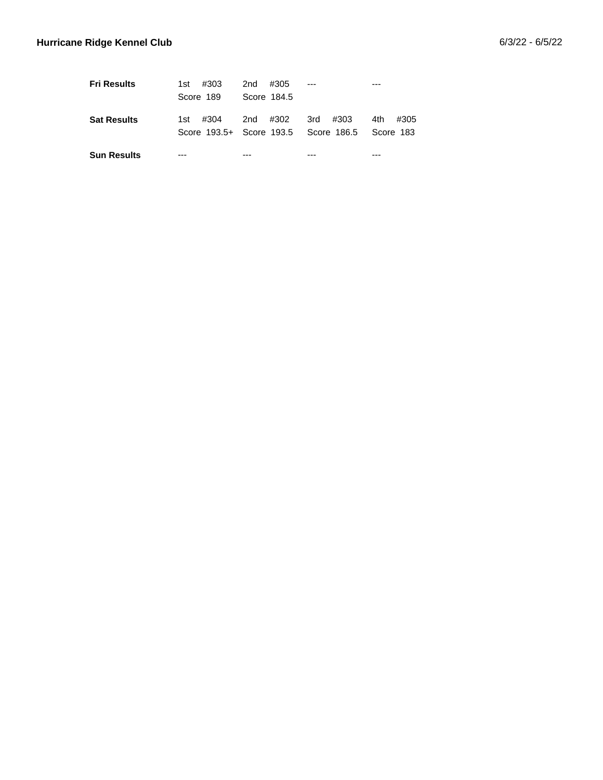| <b>Fri Results</b> | #303<br>1st – | 2nd<br>#305 |                                                |               |
|--------------------|---------------|-------------|------------------------------------------------|---------------|
|                    | Score 189     | Score 184.5 |                                                |               |
| <b>Sat Results</b> | #304<br>1st – | 2nd #302    | 3rd #303                                       | 4th -<br>#305 |
|                    |               |             | Score 193.5+ Score 193.5 Score 186.5 Score 183 |               |
| <b>Sun Results</b> |               |             |                                                |               |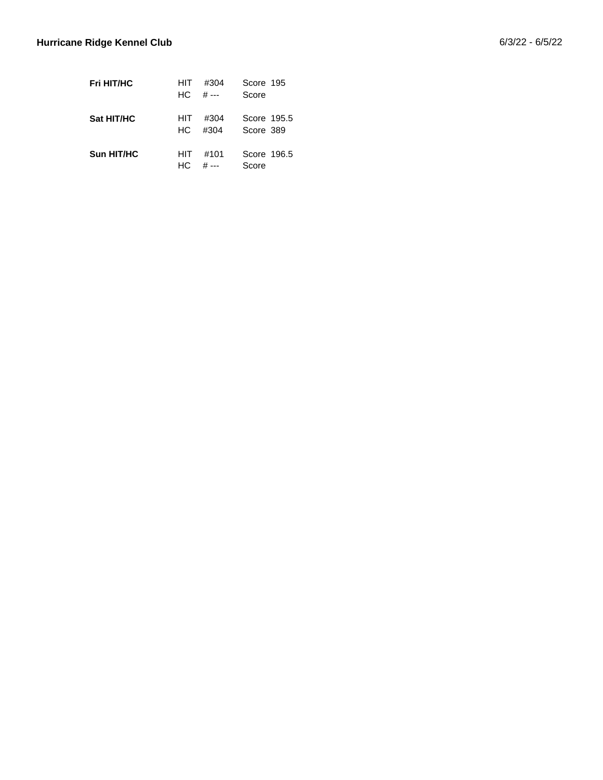| <b>Fri HIT/HC</b> | HIT  | #304  | Score 195   |  |
|-------------------|------|-------|-------------|--|
|                   | HC.  | # --- | Score       |  |
|                   |      |       |             |  |
| <b>Sat HIT/HC</b> | HIT. | #304  | Score 195.5 |  |
|                   | HC.  | #304  | Score 389   |  |
|                   |      |       |             |  |
| Sun HIT/HC        | HIT  | #101  | Score 196.5 |  |
|                   | HC.  | # --- | Score       |  |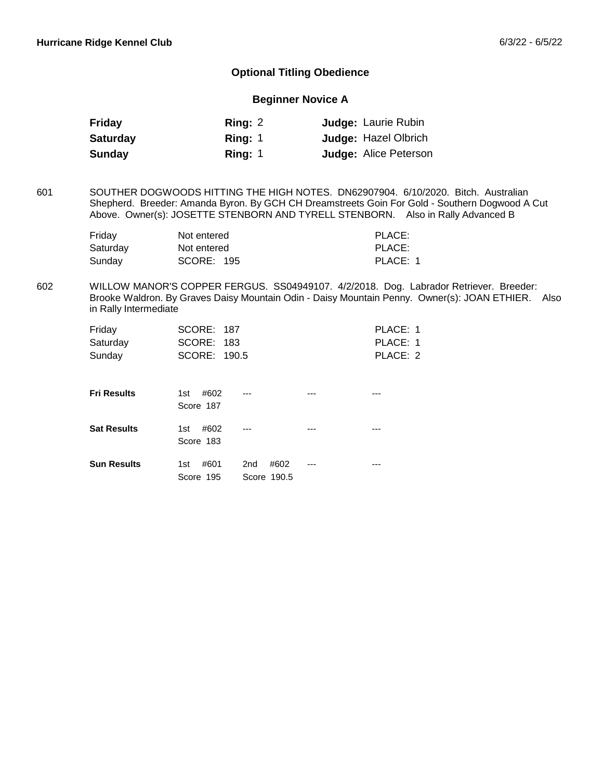## **Optional Titling Obedience**

## **Beginner Novice A**

| Friday          | Ring: $2$ | <b>Judge: Laurie Rubin</b>   |
|-----------------|-----------|------------------------------|
| <b>Saturday</b> | Ring: $1$ | <b>Judge: Hazel Olbrich</b>  |
| Sunday          | Ring: $1$ | <b>Judge: Alice Peterson</b> |

SOUTHER DOGWOODS HITTING THE HIGH NOTES. DN62907904. 6/10/2020. Bitch. Australian Shepherd. Breeder: Amanda Byron. By GCH CH Dreamstreets Goin For Gold - Southern Dogwood A Cut Above. Owner(s): JOSETTE STENBORN AND TYRELL STENBORN. Also in Rally Advanced B 601

| Friday   | Not entered | PLACE:   |
|----------|-------------|----------|
| Saturdav | Not entered | PLACE:   |
| Sunday   | SCORE: 195  | PLACE: 1 |

WILLOW MANOR'S COPPER FERGUS. SS04949107. 4/2/2018. Dog. Labrador Retriever. Breeder: Brooke Waldron. By Graves Daisy Mountain Odin - Daisy Mountain Penny. Owner(s): JOAN ETHIER. Also in Rally Intermediate 602

| Friday<br>Saturday<br>Sunday | <b>SCORE: 187</b><br>SCORE: 183<br>SCORE: 190.5 |                                        |     | PLACE: 1<br>PLACE: 1<br>PLACE: 2 |
|------------------------------|-------------------------------------------------|----------------------------------------|-----|----------------------------------|
| <b>Fri Results</b>           | #602<br>1st<br>Score 187                        |                                        | --- |                                  |
| <b>Sat Results</b>           | #602<br>1st<br>Score 183                        |                                        |     |                                  |
| <b>Sun Results</b>           | #601<br>1st<br>Score 195                        | #602<br>2 <sub>nd</sub><br>Score 190.5 | --- |                                  |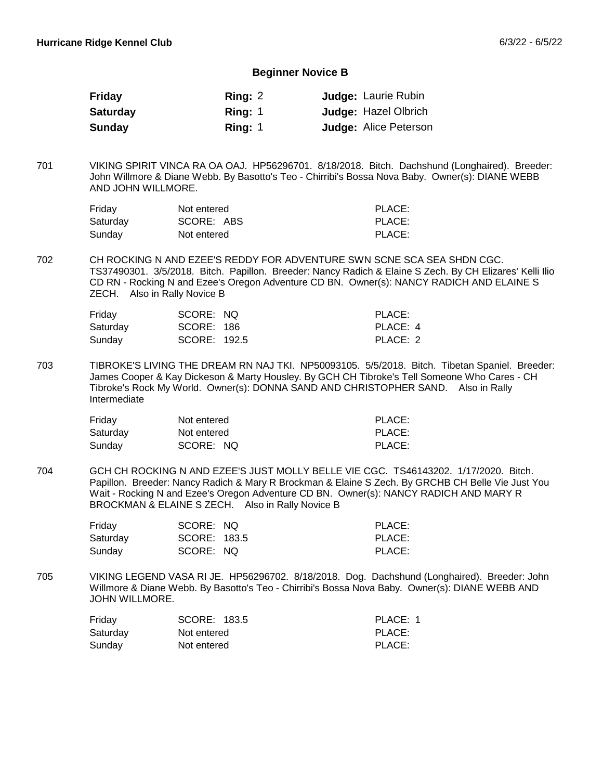#### **Beginner Novice B**

| Friday          | Ring: 2   | <b>Judge: Laurie Rubin</b>   |
|-----------------|-----------|------------------------------|
| <b>Saturday</b> | Ring: $1$ | <b>Judge: Hazel Olbrich</b>  |
| Sunday          | Ring: $1$ | <b>Judge: Alice Peterson</b> |

VIKING SPIRIT VINCA RA OA OAJ. HP56296701. 8/18/2018. Bitch. Dachshund (Longhaired). Breeder: John Willmore & Diane Webb. By Basotto's Teo - Chirribi's Bossa Nova Baby. Owner(s): DIANE WEBB AND JOHN WILLMORE. 701

| Friday   | Not entered | PLACE: |
|----------|-------------|--------|
| Saturday | SCORE: ABS  | PLACE: |
| Sunday   | Not entered | PLACE: |

CH ROCKING N AND EZEE'S REDDY FOR ADVENTURE SWN SCNE SCA SEA SHDN CGC. TS37490301. 3/5/2018. Bitch. Papillon. Breeder: Nancy Radich & Elaine S Zech. By CH Elizares' Kelli Ilio CD RN - Rocking N and Ezee's Oregon Adventure CD BN. Owner(s): NANCY RADICH AND ELAINE S ZECH. Also in Rally Novice B 702

| Friday   | SCORE: NQ    | PLACE:   |
|----------|--------------|----------|
| Saturday | SCORE: 186   | PLACE: 4 |
| Sunday   | SCORE: 192.5 | PLACE: 2 |

TIBROKE'S LIVING THE DREAM RN NAJ TKI. NP50093105. 5/5/2018. Bitch. Tibetan Spaniel. Breeder: James Cooper & Kay Dickeson & Marty Housley. By GCH CH Tibroke's Tell Someone Who Cares - CH Tibroke's Rock My World. Owner(s): DONNA SAND AND CHRISTOPHER SAND. Also in Rally Intermediate 703

| Friday   | Not entered | PLACE: |
|----------|-------------|--------|
| Saturday | Not entered | PLACE: |
| Sunday   | SCORE: NQ   | PLACE: |

GCH CH ROCKING N AND EZEE'S JUST MOLLY BELLE VIE CGC. TS46143202. 1/17/2020. Bitch. Papillon. Breeder: Nancy Radich & Mary R Brockman & Elaine S Zech. By GRCHB CH Belle Vie Just You Wait - Rocking N and Ezee's Oregon Adventure CD BN. Owner(s): NANCY RADICH AND MARY R BROCKMAN & ELAINE S ZECH. Also in Rally Novice B 704

| Friday   | SCORE: NQ    | PLACE: |
|----------|--------------|--------|
| Saturday | SCORE: 183.5 | PLACE: |
| Sunday   | SCORE: NQ    | PLACE: |

VIKING LEGEND VASA RI JE. HP56296702. 8/18/2018. Dog. Dachshund (Longhaired). Breeder: John Willmore & Diane Webb. By Basotto's Teo - Chirribi's Bossa Nova Baby. Owner(s): DIANE WEBB AND JOHN WILLMORE. 705

| Friday   | SCORE: 183.5 | PLACE: 1 |
|----------|--------------|----------|
| Saturday | Not entered  | PLACE:   |
| Sunday   | Not entered  | PLACE:   |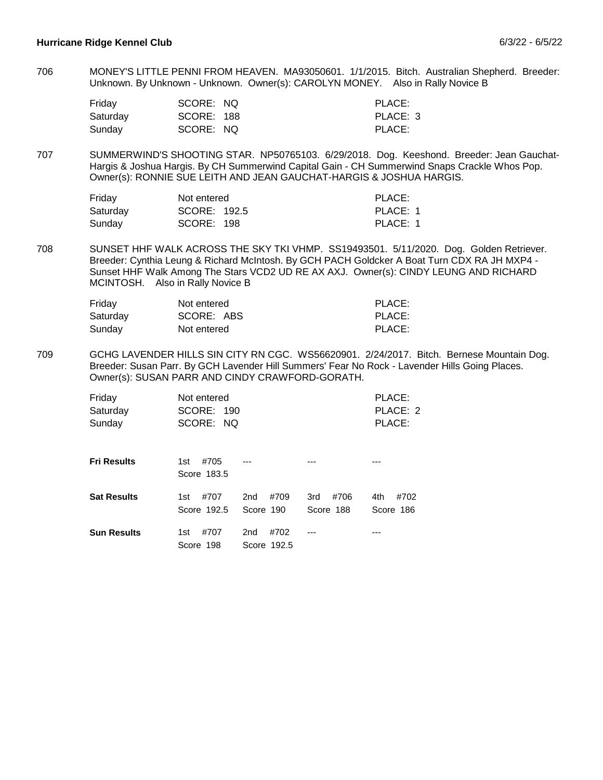MONEY'S LITTLE PENNI FROM HEAVEN. MA93050601. 1/1/2015. Bitch. Australian Shepherd. Breeder: Unknown. By Unknown - Unknown. Owner(s): CAROLYN MONEY. Also in Rally Novice B 706

| Friday   | SCORE: NQ  | PLACE:   |
|----------|------------|----------|
| Saturday | SCORE: 188 | PLACE: 3 |
| Sundav   | SCORE: NQ  | PLACE:   |

SUMMERWIND'S SHOOTING STAR. NP50765103. 6/29/2018. Dog. Keeshond. Breeder: Jean Gauchat-Hargis & Joshua Hargis. By CH Summerwind Capital Gain - CH Summerwind Snaps Crackle Whos Pop. Owner(s): RONNIE SUE LEITH AND JEAN GAUCHAT-HARGIS & JOSHUA HARGIS. 707

| Friday   | Not entered  | PLACE:   |
|----------|--------------|----------|
| Saturday | SCORE: 192.5 | PLACE: 1 |
| Sunday   | SCORE: 198   | PLACE: 1 |

SUNSET HHF WALK ACROSS THE SKY TKI VHMP. SS19493501. 5/11/2020. Dog. Golden Retriever. Breeder: Cynthia Leung & Richard McIntosh. By GCH PACH Goldcker A Boat Turn CDX RA JH MXP4 - Sunset HHF Walk Among The Stars VCD2 UD RE AX AXJ. Owner(s): CINDY LEUNG AND RICHARD MCINTOSH. Also in Rally Novice B 708

| Friday   | Not entered | PLACE: |
|----------|-------------|--------|
| Saturday | SCORE: ABS  | PLACE: |
| Sunday   | Not entered | PLACE: |

GCHG LAVENDER HILLS SIN CITY RN CGC. WS56620901. 2/24/2017. Bitch. Bernese Mountain Dog. Breeder: Susan Parr. By GCH Lavender Hill Summers' Fear No Rock - Lavender Hills Going Places. Owner(s): SUSAN PARR AND CINDY CRAWFORD-GORATH. 709

| Friday<br>Saturday<br>Sunday | Not entered<br>SCORE: 190<br>SCORE: NO |                                        |                          | PLACE:<br>PLACE: 2<br>PLACE: |
|------------------------------|----------------------------------------|----------------------------------------|--------------------------|------------------------------|
| <b>Fri Results</b>           | #705<br>1st<br>Score 183.5             |                                        |                          |                              |
| <b>Sat Results</b>           | #707<br>1st<br>Score 192.5             | #709<br>2nd<br>Score 190               | #706<br>3rd<br>Score 188 | #702<br>4th<br>Score 186     |
| <b>Sun Results</b>           | #707<br>1st<br>Score 198               | #702<br>2 <sub>nd</sub><br>Score 192.5 | ---                      |                              |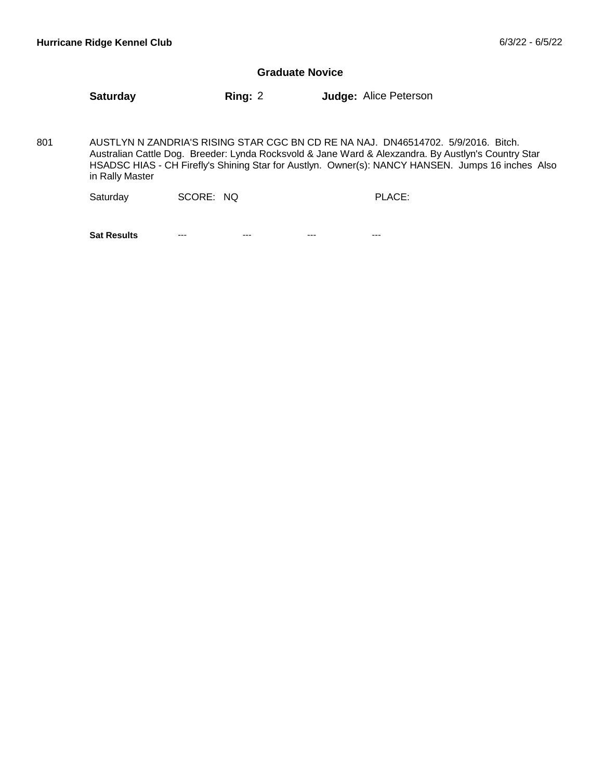### **Graduate Novice**

**Saturday Ring:** 2 **Judge:** Alice Peterson

AUSTLYN N ZANDRIA'S RISING STAR CGC BN CD RE NA NAJ. DN46514702. 5/9/2016. Bitch. Australian Cattle Dog. Breeder: Lynda Rocksvold & Jane Ward & Alexzandra. By Austlyn's Country Star HSADSC HIAS - CH Firefly's Shining Star for Austlyn. Owner(s): NANCY HANSEN. Jumps 16 inches Also in Rally Master 801

| SCORE: NQ<br>Saturday |  | PLACE: |
|-----------------------|--|--------|
|-----------------------|--|--------|

**Sat Results** --- --- --- --- --- --- --- --- ---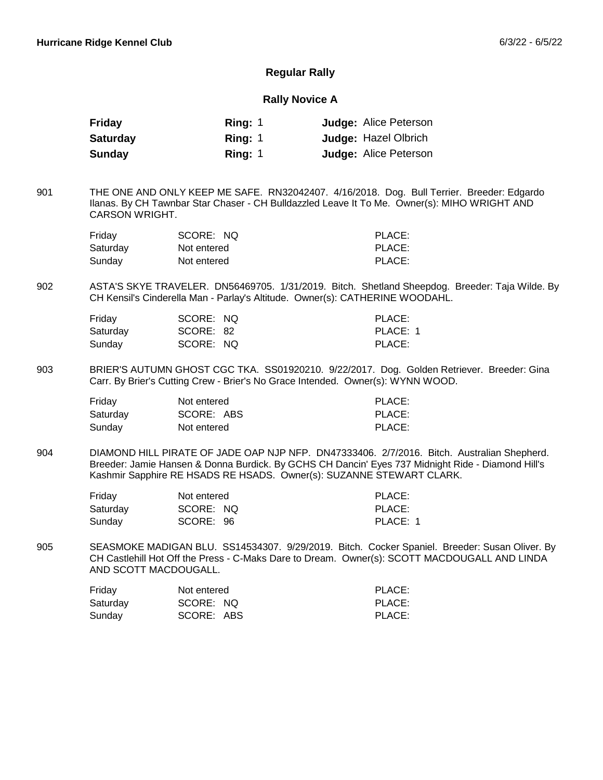## **Regular Rally**

## **Rally Novice A**

| Friday          | Ring: $1$ | <b>Judge: Alice Peterson</b> |
|-----------------|-----------|------------------------------|
| <b>Saturday</b> | Ring: 1   | <b>Judge: Hazel Olbrich</b>  |
| Sunday          | Ring: $1$ | <b>Judge: Alice Peterson</b> |

THE ONE AND ONLY KEEP ME SAFE. RN32042407. 4/16/2018. Dog. Bull Terrier. Breeder: Edgardo Ilanas. By CH Tawnbar Star Chaser - CH Bulldazzled Leave It To Me. Owner(s): MIHO WRIGHT AND CARSON WRIGHT. 901

| Friday   | SCORE: NQ   | PLACE: |
|----------|-------------|--------|
| Saturday | Not entered | PLACE: |
| Sunday   | Not entered | PLACE: |

ASTA'S SKYE TRAVELER. DN56469705. 1/31/2019. Bitch. Shetland Sheepdog. Breeder: Taja Wilde. By CH Kensil's Cinderella Man - Parlay's Altitude. Owner(s): CATHERINE WOODAHL. 902

| Friday   | SCORE: NQ | PLACE:   |
|----------|-----------|----------|
| Saturday | SCORE: 82 | PLACE: 1 |
| Sunday   | SCORE: NQ | PLACE:   |

BRIER'S AUTUMN GHOST CGC TKA. SS01920210. 9/22/2017. Dog. Golden Retriever. Breeder: Gina Carr. By Brier's Cutting Crew - Brier's No Grace Intended. Owner(s): WYNN WOOD. 903

| Friday   | Not entered | PLACE: |
|----------|-------------|--------|
| Saturday | SCORE: ABS  | PLACE: |
| Sunday   | Not entered | PLACE: |

DIAMOND HILL PIRATE OF JADE OAP NJP NFP. DN47333406. 2/7/2016. Bitch. Australian Shepherd. Breeder: Jamie Hansen & Donna Burdick. By GCHS CH Dancin' Eyes 737 Midnight Ride - Diamond Hill's Kashmir Sapphire RE HSADS RE HSADS. Owner(s): SUZANNE STEWART CLARK. 904

| Friday   | Not entered | PLACE:   |
|----------|-------------|----------|
| Saturday | SCORE: NQ   | PLACE:   |
| Sunday   | SCORE: 96   | PLACE: 1 |

SEASMOKE MADIGAN BLU. SS14534307. 9/29/2019. Bitch. Cocker Spaniel. Breeder: Susan Oliver. By CH Castlehill Hot Off the Press - C-Maks Dare to Dream. Owner(s): SCOTT MACDOUGALL AND LINDA AND SCOTT MACDOUGALL. 905

| Friday   | Not entered | PLACE: |
|----------|-------------|--------|
| Saturday | SCORE: NQ   | PLACE: |
| Sunday   | SCORE: ABS  | PLACE: |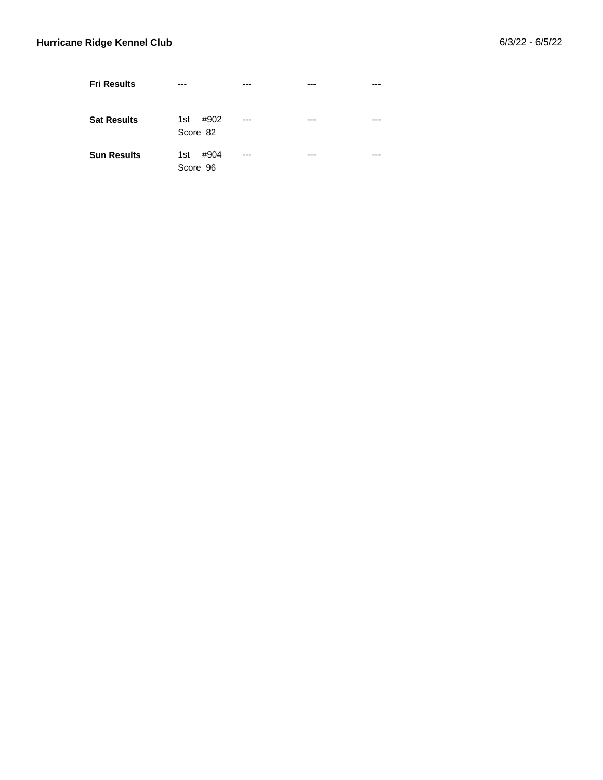| <b>Fri Results</b> |                         |       |     |     |
|--------------------|-------------------------|-------|-----|-----|
| <b>Sat Results</b> | #902<br>1st<br>Score 82 | $---$ | --- |     |
| <b>Sun Results</b> | #904<br>1st<br>Score 96 | $---$ | --- | --- |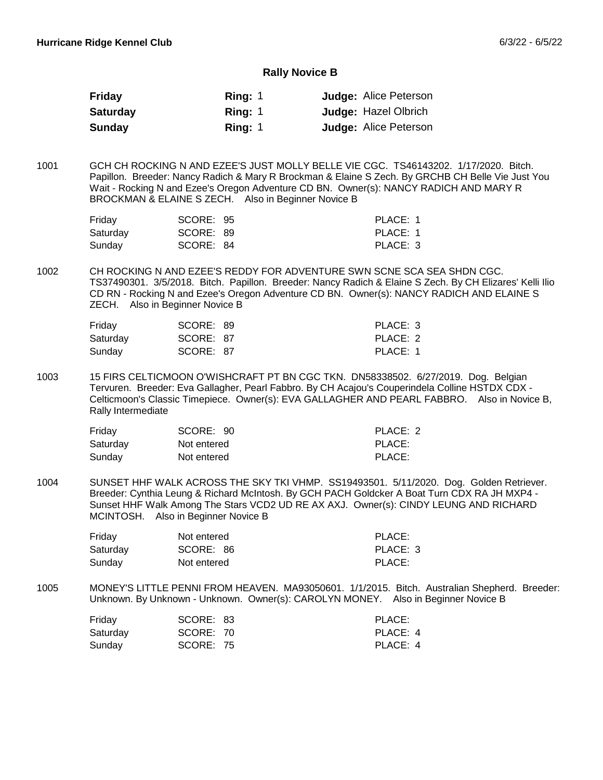#### **Rally Novice B**

| <b>Friday</b>   | Ring: $1$ | <b>Judge: Alice Peterson</b> |
|-----------------|-----------|------------------------------|
| <b>Saturday</b> | Ring: 1   | <b>Judge: Hazel Olbrich</b>  |
| <b>Sunday</b>   | Ring: 1   | <b>Judge: Alice Peterson</b> |

GCH CH ROCKING N AND EZEE'S JUST MOLLY BELLE VIE CGC. TS46143202. 1/17/2020. Bitch. Papillon. Breeder: Nancy Radich & Mary R Brockman & Elaine S Zech. By GRCHB CH Belle Vie Just You Wait - Rocking N and Ezee's Oregon Adventure CD BN. Owner(s): NANCY RADICH AND MARY R BROCKMAN & ELAINE S ZECH. Also in Beginner Novice B 1001

| Friday   | SCORE: 95 | PLACE: 1 |
|----------|-----------|----------|
| Saturdav | SCORE: 89 | PLACE: 1 |
| Sunday   | SCORE: 84 | PLACE: 3 |

CH ROCKING N AND EZEE'S REDDY FOR ADVENTURE SWN SCNE SCA SEA SHDN CGC. TS37490301. 3/5/2018. Bitch. Papillon. Breeder: Nancy Radich & Elaine S Zech. By CH Elizares' Kelli Ilio CD RN - Rocking N and Ezee's Oregon Adventure CD BN. Owner(s): NANCY RADICH AND ELAINE S ZECH. Also in Beginner Novice B 1002

| Friday   | SCORE: 89 | PLACE: 3 |
|----------|-----------|----------|
| Saturday | SCORE: 87 | PLACE: 2 |
| Sunday   | SCORE: 87 | PLACE: 1 |

15 FIRS CELTICMOON O'WISHCRAFT PT BN CGC TKN. DN58338502. 6/27/2019. Dog. Belgian Tervuren. Breeder: Eva Gallagher, Pearl Fabbro. By CH Acajou's Couperindela Colline HSTDX CDX - Celticmoon's Classic Timepiece. Owner(s): EVA GALLAGHER AND PEARL FABBRO. Also in Novice B, Rally Intermediate 1003

| Friday   | SCORE: 90   | PLACE: 2 |
|----------|-------------|----------|
| Saturday | Not entered | PLACE:   |
| Sunday   | Not entered | PLACE:   |

SUNSET HHF WALK ACROSS THE SKY TKI VHMP. SS19493501. 5/11/2020. Dog. Golden Retriever. Breeder: Cynthia Leung & Richard McIntosh. By GCH PACH Goldcker A Boat Turn CDX RA JH MXP4 - Sunset HHF Walk Among The Stars VCD2 UD RE AX AXJ. Owner(s): CINDY LEUNG AND RICHARD MCINTOSH. Also in Beginner Novice B 1004

| Friday   | Not entered | PLACE:   |
|----------|-------------|----------|
| Saturdav | SCORE: 86   | PLACE: 3 |
| Sundav   | Not entered | PLACE:   |

MONEY'S LITTLE PENNI FROM HEAVEN. MA93050601. 1/1/2015. Bitch. Australian Shepherd. Breeder: Unknown. By Unknown - Unknown. Owner(s): CAROLYN MONEY. Also in Beginner Novice B 1005

| Friday   | SCORE: 83 | PLACE:   |
|----------|-----------|----------|
| Saturday | SCORE: 70 | PLACE: 4 |
| Sunday   | SCORE: 75 | PLACE: 4 |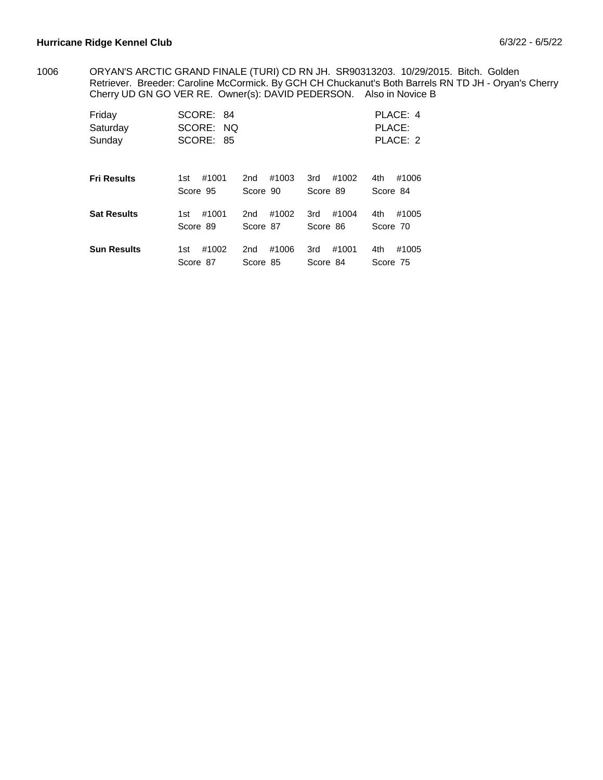ORYAN'S ARCTIC GRAND FINALE (TURI) CD RN JH. SR90313203. 10/29/2015. Bitch. Golden Retriever. Breeder: Caroline McCormick. By GCH CH Chuckanut's Both Barrels RN TD JH - Oryan's Cherry Cherry UD GN GO VER RE. Owner(s): DAVID PEDERSON. Also in Novice B 1006

| Friday<br>Saturday<br>Sunday | SCORE: 84<br>SCORE: NO<br>SCORE: 85 |                              |                          | PLACE: 4<br>PLACE:<br>PLACE: 2 |
|------------------------------|-------------------------------------|------------------------------|--------------------------|--------------------------------|
| <b>Fri Results</b>           | #1001                               | #1003                        | #1002                    | #1006                          |
|                              | 1st                                 | 2nd                          | 3rd                      | 4th                            |
|                              | Score 95                            | Score 90                     | Score 89                 | Score 84                       |
| <b>Sat Results</b>           | #1001                               | #1002                        | #1004                    | #1005                          |
|                              | 1st                                 | 2nd                          | 3rd                      | 4th                            |
|                              | Score 89                            | Score 87                     | Score 86                 | Score 70                       |
| <b>Sun Results</b>           | #1002<br>1st<br>Score 87            | #1006<br>2nd<br>Score<br>-85 | #1001<br>3rd<br>Score 84 | #1005<br>4th<br>Score 75       |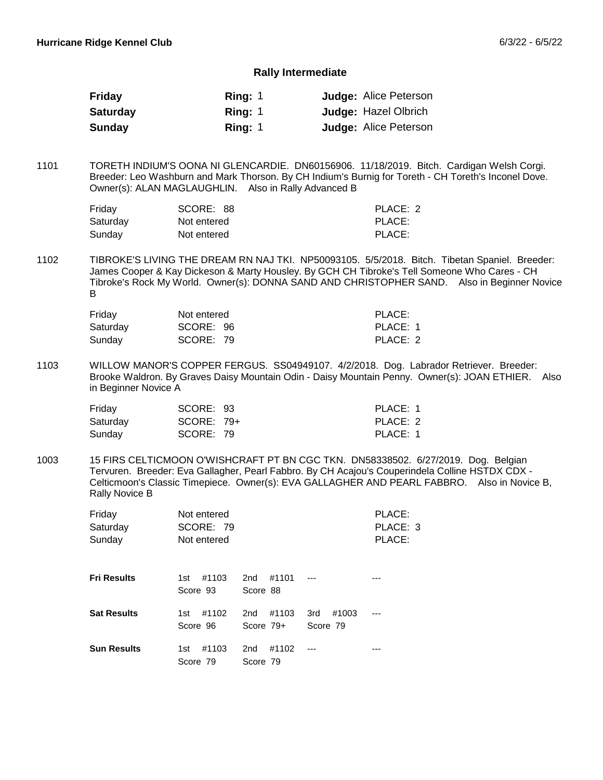#### **Rally Intermediate**

| Friday          | Ring: $1$ | <b>Judge: Alice Peterson</b> |
|-----------------|-----------|------------------------------|
| <b>Saturday</b> | Ring: $1$ | <b>Judge: Hazel Olbrich</b>  |
| Sunday          | Ring: 1   | <b>Judge: Alice Peterson</b> |

TORETH INDIUM'S OONA NI GLENCARDIE. DN60156906. 11/18/2019. Bitch. Cardigan Welsh Corgi. Breeder: Leo Washburn and Mark Thorson. By CH Indium's Burnig for Toreth - CH Toreth's Inconel Dove. Owner(s): ALAN MAGLAUGHLIN. Also in Rally Advanced B 1101

| Friday   | SCORE: 88   | PLACE: 2 |
|----------|-------------|----------|
| Saturday | Not entered | PLACE:   |
| Sunday   | Not entered | PLACE:   |

TIBROKE'S LIVING THE DREAM RN NAJ TKI. NP50093105. 5/5/2018. Bitch. Tibetan Spaniel. Breeder: James Cooper & Kay Dickeson & Marty Housley. By GCH CH Tibroke's Tell Someone Who Cares - CH Tibroke's Rock My World. Owner(s): DONNA SAND AND CHRISTOPHER SAND. Also in Beginner Novice B 1102

| Friday   | Not entered | PLACE:   |
|----------|-------------|----------|
| Saturday | SCORE: 96   | PLACE: 1 |
| Sundav   | SCORE: 79   | PLACE: 2 |

WILLOW MANOR'S COPPER FERGUS. SS04949107. 4/2/2018. Dog. Labrador Retriever. Breeder: Brooke Waldron. By Graves Daisy Mountain Odin - Daisy Mountain Penny. Owner(s): JOAN ETHIER. Also in Beginner Novice A 1103

| Friday   | SCORE: 93  | PLACE: 1 |
|----------|------------|----------|
| Saturday | SCORE: 79+ | PLACE: 2 |
| Sunday   | SCORE: 79  | PLACE: 1 |

15 FIRS CELTICMOON O'WISHCRAFT PT BN CGC TKN. DN58338502. 6/27/2019. Dog. Belgian Tervuren. Breeder: Eva Gallagher, Pearl Fabbro. By CH Acajou's Couperindela Colline HSTDX CDX - Celticmoon's Classic Timepiece. Owner(s): EVA GALLAGHER AND PEARL FABBRO. Also in Novice B, Rally Novice B 1003

| Friday<br>Saturday<br>Sunday | Not entered<br>SCORE: 79<br>Not entered |                                      |                          | PLACE:<br>PLACE: 3<br>PLACE: |
|------------------------------|-----------------------------------------|--------------------------------------|--------------------------|------------------------------|
| <b>Fri Results</b>           | #1103<br>1st<br>Score 93                | #1101<br>2 <sub>nd</sub><br>Score 88 |                          |                              |
| <b>Sat Results</b>           | #1102<br>1st<br>Score 96                | #1103<br>2nd<br>Score $79+$          | 3rd<br>#1003<br>Score 79 |                              |
| <b>Sun Results</b>           | #1103<br>1st<br>Score 79                | #1102<br>2nd<br>Score 79             |                          |                              |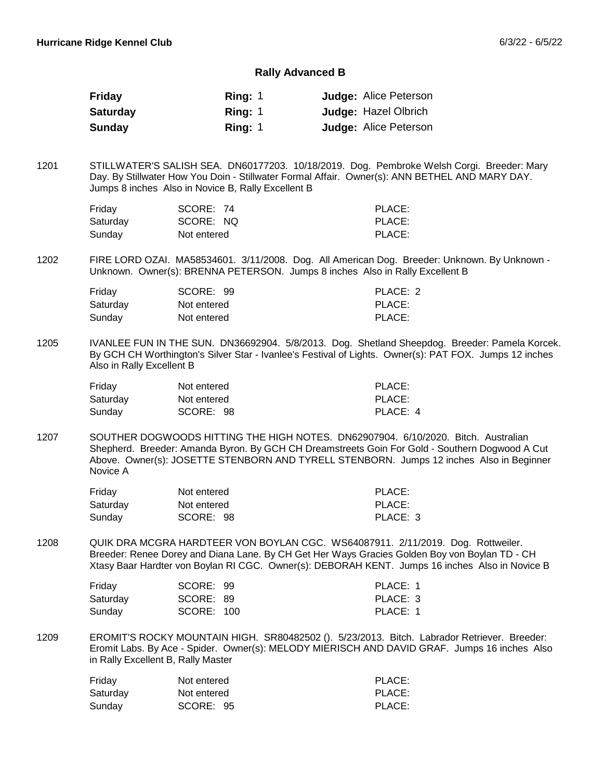#### **Rally Advanced B**

| Friday          | Ring: $1$ | <b>Judge: Alice Peterson</b> |
|-----------------|-----------|------------------------------|
| <b>Saturday</b> | Ring: 1   | <b>Judge: Hazel Olbrich</b>  |
| Sunday          | Ring: $1$ | <b>Judge: Alice Peterson</b> |

STILLWATER'S SALISH SEA. DN60177203. 10/18/2019. Dog. Pembroke Welsh Corgi. Breeder: Mary Day. By Stillwater How You Doin - Stillwater Formal Affair. Owner(s): ANN BETHEL AND MARY DAY. Jumps 8 inches Also in Novice B, Rally Excellent B 1201

| Friday   | SCORE: 74   | PLACE: |
|----------|-------------|--------|
| Saturday | SCORE: NQ   | PLACE: |
| Sunday   | Not entered | PLACE: |

FIRE LORD OZAI. MA58534601. 3/11/2008. Dog. All American Dog. Breeder: Unknown. By Unknown - Unknown. Owner(s): BRENNA PETERSON. Jumps 8 inches Also in Rally Excellent B 1202

| Friday   | SCORE: 99   | PLACE: 2 |
|----------|-------------|----------|
| Saturday | Not entered | PLACE:   |
| Sunday   | Not entered | PLACE:   |

IVANLEE FUN IN THE SUN. DN36692904. 5/8/2013. Dog. Shetland Sheepdog. Breeder: Pamela Korcek. By GCH CH Worthington's Silver Star - Ivanlee's Festival of Lights. Owner(s): PAT FOX. Jumps 12 inches Also in Rally Excellent B 1205

| Friday   | Not entered | PLACE:   |
|----------|-------------|----------|
| Saturdav | Not entered | PLACE:   |
| Sunday   | SCORE: 98   | PLACE: 4 |

SOUTHER DOGWOODS HITTING THE HIGH NOTES. DN62907904. 6/10/2020. Bitch. Australian Shepherd. Breeder: Amanda Byron. By GCH CH Dreamstreets Goin For Gold - Southern Dogwood A Cut Above. Owner(s): JOSETTE STENBORN AND TYRELL STENBORN. Jumps 12 inches Also in Beginner Novice A 1207

| Friday   | Not entered | PLACE:   |
|----------|-------------|----------|
| Saturdav | Not entered | PLACE:   |
| Sunday   | SCORE: 98   | PLACE: 3 |

QUIK DRA MCGRA HARDTEER VON BOYLAN CGC. WS64087911. 2/11/2019. Dog. Rottweiler. Breeder: Renee Dorey and Diana Lane. By CH Get Her Ways Gracies Golden Boy von Boylan TD - CH Xtasy Baar Hardter von Boylan RI CGC. Owner(s): DEBORAH KENT. Jumps 16 inches Also in Novice B 1208

| Friday   | SCORE: 99  | PLACE: 1 |
|----------|------------|----------|
| Saturdav | SCORE: 89  | PLACE: 3 |
| Sundav   | SCORE: 100 | PLACE: 1 |

EROMIT'S ROCKY MOUNTAIN HIGH. SR80482502 (). 5/23/2013. Bitch. Labrador Retriever. Breeder: Eromit Labs. By Ace - Spider. Owner(s): MELODY MIERISCH AND DAVID GRAF. Jumps 16 inches Also in Rally Excellent B, Rally Master 1209

| Friday   | Not entered | PLACE: |
|----------|-------------|--------|
| Saturday | Not entered | PLACE: |
| Sundav   | SCORE: 95   | PLACE: |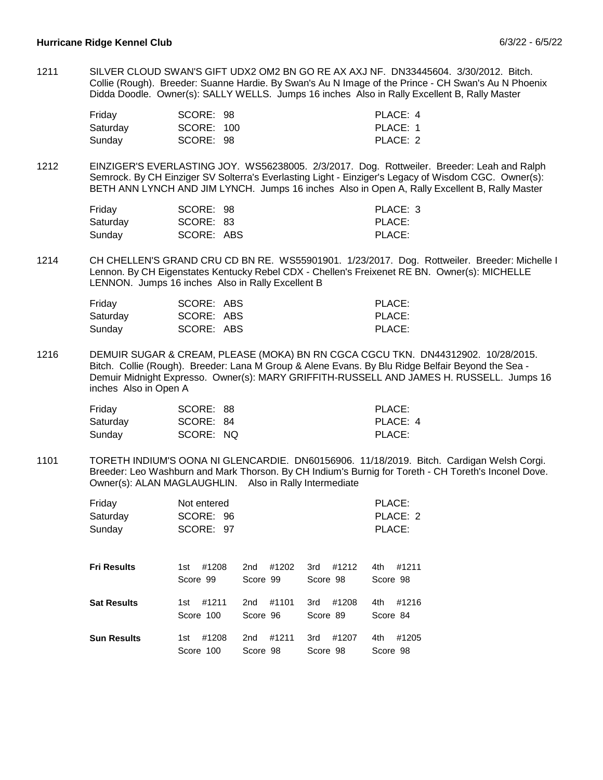SILVER CLOUD SWAN'S GIFT UDX2 OM2 BN GO RE AX AXJ NF. DN33445604. 3/30/2012. Bitch. Collie (Rough). Breeder: Suanne Hardie. By Swan's Au N Image of the Prince - CH Swan's Au N Phoenix Didda Doodle. Owner(s): SALLY WELLS. Jumps 16 inches Also in Rally Excellent B, Rally Master 1211

| Friday   | SCORE: 98  | PLACE: 4 |
|----------|------------|----------|
| Saturdav | SCORE: 100 | PLACE: 1 |
| Sunday   | SCORE: 98  | PLACE: 2 |

EINZIGER'S EVERLASTING JOY. WS56238005. 2/3/2017. Dog. Rottweiler. Breeder: Leah and Ralph Semrock. By CH Einziger SV Solterra's Everlasting Light - Einziger's Legacy of Wisdom CGC. Owner(s): BETH ANN LYNCH AND JIM LYNCH. Jumps 16 inches Also in Open A, Rally Excellent B, Rally Master 1212

| Friday   | SCORE: 98  | PLACE: 3 |
|----------|------------|----------|
| Saturday | SCORE: 83  | PLACE:   |
| Sunday   | SCORE: ABS | PLACE:   |

CH CHELLEN'S GRAND CRU CD BN RE. WS55901901. 1/23/2017. Dog. Rottweiler. Breeder: Michelle I Lennon. By CH Eigenstates Kentucky Rebel CDX - Chellen's Freixenet RE BN. Owner(s): MICHELLE LENNON. Jumps 16 inches Also in Rally Excellent B 1214

| Friday   | SCORE: ABS | PLACE: |
|----------|------------|--------|
| Saturday | SCORE: ABS | PLACE: |
| Sunday   | SCORE: ABS | PLACE: |

DEMUIR SUGAR & CREAM, PLEASE (MOKA) BN RN CGCA CGCU TKN. DN44312902. 10/28/2015. Bitch. Collie (Rough). Breeder: Lana M Group & Alene Evans. By Blu Ridge Belfair Beyond the Sea - Demuir Midnight Expresso. Owner(s): MARY GRIFFITH-RUSSELL AND JAMES H. RUSSELL. Jumps 16 inches Also in Open A 1216

| Friday   | SCORE: 88 | PLACE:   |
|----------|-----------|----------|
| Saturday | SCORE: 84 | PLACE: 4 |
| Sundav   | SCORE: NQ | PLACE:   |

TORETH INDIUM'S OONA NI GLENCARDIE. DN60156906. 11/18/2019. Bitch. Cardigan Welsh Corgi. Breeder: Leo Washburn and Mark Thorson. By CH Indium's Burnig for Toreth - CH Toreth's Inconel Dove. Owner(s): ALAN MAGLAUGHLIN. Also in Rally Intermediate 1101

| Friday<br>Saturday<br>Sunday | Not entered<br>SCORE: 96<br>SCORE: 97 |          |          | PLACE:<br>PLACE: 2<br>PLACE: |
|------------------------------|---------------------------------------|----------|----------|------------------------------|
| <b>Fri Results</b>           | #1208                                 | #1202    | #1212    | 4th                          |
|                              | 1st                                   | 2nd      | 3rd      | #1211                        |
|                              | Score 99                              | Score 99 | Score 98 | Score 98                     |
| <b>Sat Results</b>           | #1211                                 | #1101    | #1208    | #1216                        |
|                              | 1st                                   | 2nd      | 3rd      | 4th                          |
|                              | Score 100                             | Score 96 | Score 89 | Score 84                     |
| <b>Sun Results</b>           | #1208                                 | #1211    | #1207    | 4th                          |
|                              | 1st                                   | 2nd      | 3rd      | #1205                        |
|                              | Score 100                             | Score 98 | Score 98 | Score 98                     |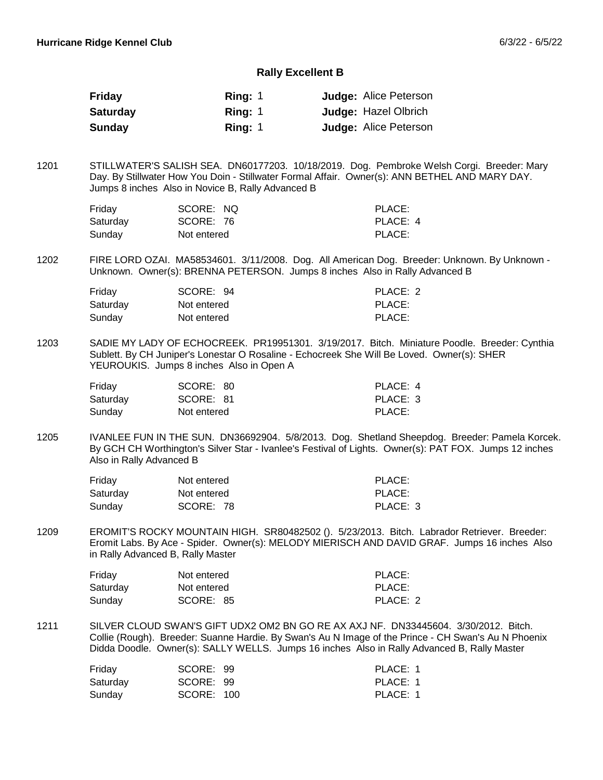#### **Rally Excellent B**

| Friday          | Ring: $1$ | <b>Judge: Alice Peterson</b> |
|-----------------|-----------|------------------------------|
| <b>Saturday</b> | Ring: 1   | <b>Judge: Hazel Olbrich</b>  |
| Sunday          | Rina: 1   | <b>Judge: Alice Peterson</b> |

STILLWATER'S SALISH SEA. DN60177203. 10/18/2019. Dog. Pembroke Welsh Corgi. Breeder: Mary Day. By Stillwater How You Doin - Stillwater Formal Affair. Owner(s): ANN BETHEL AND MARY DAY. Jumps 8 inches Also in Novice B, Rally Advanced B 1201

| Friday   | SCORE: NQ   | PLACE:   |
|----------|-------------|----------|
| Saturday | SCORE: 76   | PLACE: 4 |
| Sundav   | Not entered | PLACE:   |

FIRE LORD OZAI. MA58534601. 3/11/2008. Dog. All American Dog. Breeder: Unknown. By Unknown - Unknown. Owner(s): BRENNA PETERSON. Jumps 8 inches Also in Rally Advanced B 1202

| Friday   | SCORE: 94   | PLACE: 2 |
|----------|-------------|----------|
| Saturday | Not entered | PLACE:   |
| Sunday   | Not entered | PLACE:   |

SADIE MY LADY OF ECHOCREEK. PR19951301. 3/19/2017. Bitch. Miniature Poodle. Breeder: Cynthia Sublett. By CH Juniper's Lonestar O Rosaline - Echocreek She Will Be Loved. Owner(s): SHER YEUROUKIS. Jumps 8 inches Also in Open A 1203

| Friday   | SCORE: 80   | PLACE: 4 |
|----------|-------------|----------|
| Saturday | SCORE: 81   | PLACE: 3 |
| Sunday   | Not entered | PLACE:   |

IVANLEE FUN IN THE SUN. DN36692904. 5/8/2013. Dog. Shetland Sheepdog. Breeder: Pamela Korcek. By GCH CH Worthington's Silver Star - Ivanlee's Festival of Lights. Owner(s): PAT FOX. Jumps 12 inches Also in Rally Advanced B 1205

| Friday   | Not entered | PLACE:   |
|----------|-------------|----------|
| Saturday | Not entered | PLACE:   |
| Sunday   | SCORE: 78   | PLACE: 3 |

EROMIT'S ROCKY MOUNTAIN HIGH. SR80482502 (). 5/23/2013. Bitch. Labrador Retriever. Breeder: Eromit Labs. By Ace - Spider. Owner(s): MELODY MIERISCH AND DAVID GRAF. Jumps 16 inches Also in Rally Advanced B, Rally Master 1209

| Friday   | Not entered | PLACE:   |
|----------|-------------|----------|
| Saturday | Not entered | PLACE:   |
| Sundav   | SCORE: 85   | PLACE: 2 |

SILVER CLOUD SWAN'S GIFT UDX2 OM2 BN GO RE AX AXJ NF. DN33445604. 3/30/2012. Bitch. Collie (Rough). Breeder: Suanne Hardie. By Swan's Au N Image of the Prince - CH Swan's Au N Phoenix Didda Doodle. Owner(s): SALLY WELLS. Jumps 16 inches Also in Rally Advanced B, Rally Master 1211

| Friday   | SCORE: 99  | PLACE: 1 |
|----------|------------|----------|
| Saturdav | SCORE: 99  | PLACE: 1 |
| Sundav   | SCORE: 100 | PLACE: 1 |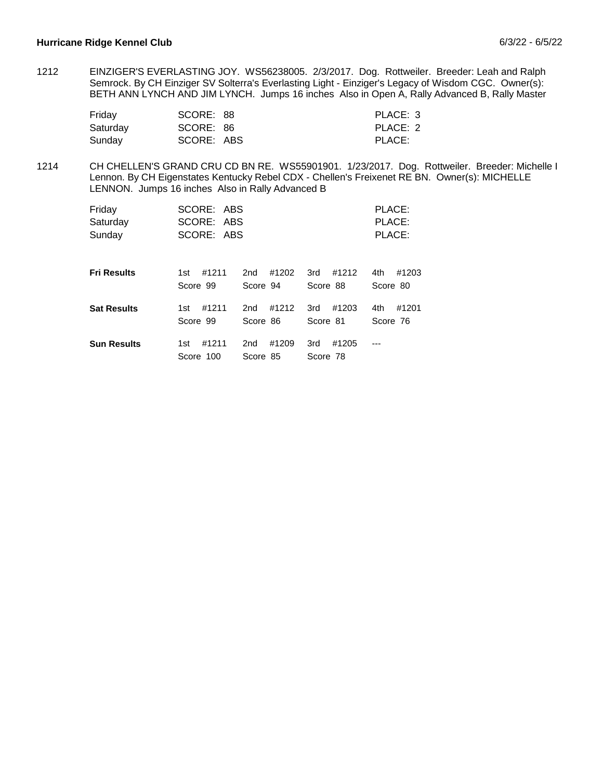EINZIGER'S EVERLASTING JOY. WS56238005. 2/3/2017. Dog. Rottweiler. Breeder: Leah and Ralph Semrock. By CH Einziger SV Solterra's Everlasting Light - Einziger's Legacy of Wisdom CGC. Owner(s): BETH ANN LYNCH AND JIM LYNCH. Jumps 16 inches Also in Open A, Rally Advanced B, Rally Master 1212

| Friday   | SCORE: 88  | PLACE: 3 |
|----------|------------|----------|
| Saturday | SCORE: 86  | PLACE: 2 |
| Sunday   | SCORE: ABS | PLACE:   |

CH CHELLEN'S GRAND CRU CD BN RE. WS55901901. 1/23/2017. Dog. Rottweiler. Breeder: Michelle I Lennon. By CH Eigenstates Kentucky Rebel CDX - Chellen's Freixenet RE BN. Owner(s): MICHELLE LENNON. Jumps 16 inches Also in Rally Advanced B 1214

| Friday<br>Saturday<br>Sunday | SCORE: ABS<br>SCORE: ABS<br>SCORE: ABS |                          |                          | PLACE:<br>PLACE:<br>PLACE: |
|------------------------------|----------------------------------------|--------------------------|--------------------------|----------------------------|
| <b>Fri Results</b>           | #1211                                  | #1202                    | #1212                    | #1203                      |
|                              | 1st                                    | 2 <sub>nd</sub>          | 3rd                      | 4th                        |
|                              | Score 99                               | Score 94                 | Score 88                 | Score 80                   |
| <b>Sat Results</b>           | #1211                                  | #1212                    | #1203                    | #1201                      |
|                              | 1st                                    | 2nd                      | 3rd                      | 4th                        |
|                              | Score 99                               | Score 86                 | Score 81                 | Score 76                   |
| <b>Sun Results</b>           | #1211<br>1st<br>Score 100              | #1209<br>2nd<br>Score 85 | #1205<br>3rd<br>Score 78 |                            |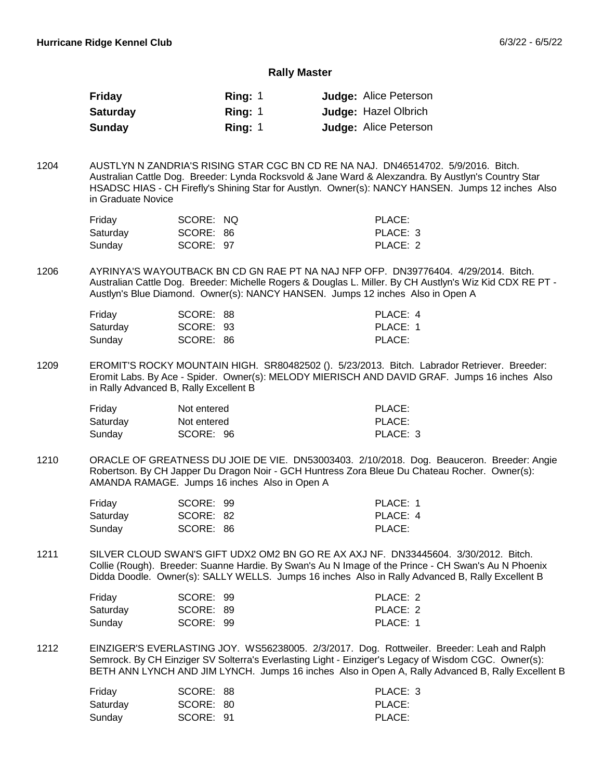#### **Rally Master**

| Friday          | Ring: $1$ | <b>Judge: Alice Peterson</b> |
|-----------------|-----------|------------------------------|
| <b>Saturday</b> | Ring: $1$ | <b>Judge: Hazel Olbrich</b>  |
| <b>Sunday</b>   | Ring: 1   | <b>Judge: Alice Peterson</b> |

AUSTLYN N ZANDRIA'S RISING STAR CGC BN CD RE NA NAJ. DN46514702. 5/9/2016. Bitch. Australian Cattle Dog. Breeder: Lynda Rocksvold & Jane Ward & Alexzandra. By Austlyn's Country Star HSADSC HIAS - CH Firefly's Shining Star for Austlyn. Owner(s): NANCY HANSEN. Jumps 12 inches Also in Graduate Novice 1204

| Friday   | SCORE: NQ | PLACE:   |
|----------|-----------|----------|
| Saturdav | SCORE: 86 | PLACE: 3 |
| Sunday   | SCORE: 97 | PLACE: 2 |

AYRINYA'S WAYOUTBACK BN CD GN RAE PT NA NAJ NFP OFP. DN39776404. 4/29/2014. Bitch. Australian Cattle Dog. Breeder: Michelle Rogers & Douglas L. Miller. By CH Austlyn's Wiz Kid CDX RE PT - Austlyn's Blue Diamond. Owner(s): NANCY HANSEN. Jumps 12 inches Also in Open A 1206

| Friday   | SCORE: 88 | PLACE: 4 |
|----------|-----------|----------|
| Saturday | SCORE: 93 | PLACE: 1 |
| Sunday   | SCORE: 86 | PLACE:   |

EROMIT'S ROCKY MOUNTAIN HIGH. SR80482502 (). 5/23/2013. Bitch. Labrador Retriever. Breeder: Eromit Labs. By Ace - Spider. Owner(s): MELODY MIERISCH AND DAVID GRAF. Jumps 16 inches Also in Rally Advanced B, Rally Excellent B 1209

| Friday   | Not entered | PLACE:   |
|----------|-------------|----------|
| Saturdav | Not entered | PLACE:   |
| Sunday   | SCORE: 96   | PLACE: 3 |

ORACLE OF GREATNESS DU JOIE DE VIE. DN53003403. 2/10/2018. Dog. Beauceron. Breeder: Angie Robertson. By CH Japper Du Dragon Noir - GCH Huntress Zora Bleue Du Chateau Rocher. Owner(s): AMANDA RAMAGE. Jumps 16 inches Also in Open A 1210

| Friday   | SCORE: 99 | PLACE: 1 |
|----------|-----------|----------|
| Saturday | SCORE: 82 | PLACE: 4 |
| Sunday   | SCORE: 86 | PLACE:   |

SILVER CLOUD SWAN'S GIFT UDX2 OM2 BN GO RE AX AXJ NF. DN33445604. 3/30/2012. Bitch. Collie (Rough). Breeder: Suanne Hardie. By Swan's Au N Image of the Prince - CH Swan's Au N Phoenix Didda Doodle. Owner(s): SALLY WELLS. Jumps 16 inches Also in Rally Advanced B, Rally Excellent B 1211

| Friday   | SCORE: 99 | PLACE: 2 |
|----------|-----------|----------|
| Saturday | SCORE: 89 | PLACE: 2 |
| Sunday   | SCORE: 99 | PLACE: 1 |

EINZIGER'S EVERLASTING JOY. WS56238005. 2/3/2017. Dog. Rottweiler. Breeder: Leah and Ralph Semrock. By CH Einziger SV Solterra's Everlasting Light - Einziger's Legacy of Wisdom CGC. Owner(s): BETH ANN LYNCH AND JIM LYNCH. Jumps 16 inches Also in Open A, Rally Advanced B, Rally Excellent B 1212

| Friday   | SCORE: 88 | PLACE: 3 |
|----------|-----------|----------|
| Saturday | SCORE: 80 | PLACE:   |
| Sunday   | SCORE: 91 | PLACE:   |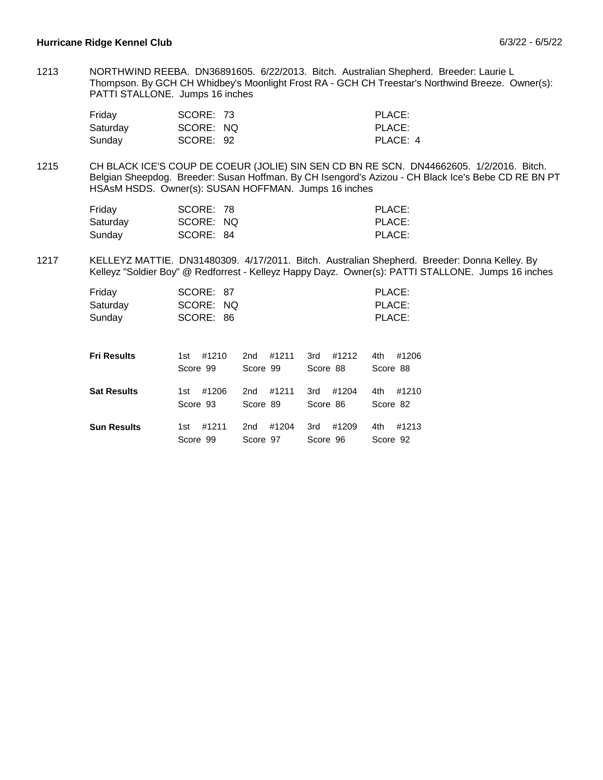NORTHWIND REEBA. DN36891605. 6/22/2013. Bitch. Australian Shepherd. Breeder: Laurie L Thompson. By GCH CH Whidbey's Moonlight Frost RA - GCH CH Treestar's Northwind Breeze. Owner(s): PATTI STALLONE. Jumps 16 inches 1213

| Friday   | SCORE: 73 | PLACE:   |
|----------|-----------|----------|
| Saturday | SCORE: NQ | PLACE:   |
| Sunday   | SCORE: 92 | PLACE: 4 |

CH BLACK ICE'S COUP DE COEUR (JOLIE) SIN SEN CD BN RE SCN. DN44662605. 1/2/2016. Bitch. Belgian Sheepdog. Breeder: Susan Hoffman. By CH Isengord's Azizou - CH Black Ice's Bebe CD RE BN PT HSAsM HSDS. Owner(s): SUSAN HOFFMAN. Jumps 16 inches 1215

| Friday   | SCORE: 78 | PLACE: |
|----------|-----------|--------|
| Saturday | SCORE: NQ | PLACE: |
| Sunday   | SCORE: 84 | PLACE: |

KELLEYZ MATTIE. DN31480309. 4/17/2011. Bitch. Australian Shepherd. Breeder: Donna Kelley. By Kelleyz "Soldier Boy" @ Redforrest - Kelleyz Happy Dayz. Owner(s): PATTI STALLONE. Jumps 16 inches 1217

| Friday<br>Saturday<br>Sunday | SCORE: 87<br>SCORE: NQ<br>SCORE: 86 |                 |          | PLACE:<br>PLACE:<br>PLACE: |
|------------------------------|-------------------------------------|-----------------|----------|----------------------------|
| <b>Fri Results</b>           | #1210                               | #1211           | #1212    | #1206                      |
|                              | 1st                                 | 2 <sub>nd</sub> | 3rd      | 4th                        |
|                              | Score 99                            | Score 99        | Score 88 | Score 88                   |
| <b>Sat Results</b>           | #1206                               | #1211           | #1204    | #1210                      |
|                              | 1st                                 | 2 <sub>nd</sub> | 3rd      | 4th                        |
|                              | Score 93                            | Score 89        | Score 86 | Score 82                   |
| <b>Sun Results</b>           | #1211                               | #1204           | #1209    | 4th                        |
|                              | 1st                                 | 2 <sub>nd</sub> | 3rd      | #1213                      |
|                              | Score 99                            | Score 97        | Score 96 | Score 92                   |